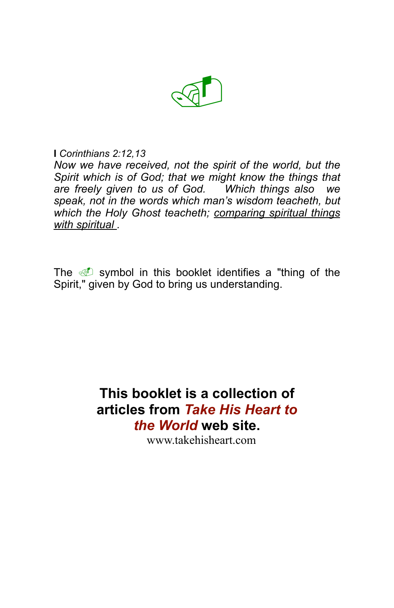

#### **I** *Corinthians 2:12,13*

*Now we have received, not the spirit of the world, but the Spirit which is of God; that we might know the things that are freely given to us of God. Which things also we speak, not in the words which man's wisdom teacheth, but which the Holy Ghost teacheth; comparing spiritual things with spiritual .*

The  $\mathbf{I}$  symbol in this booklet identifies a "thing of the Spirit," given by God to bring us understanding.

# **This booklet is a collection of articles from** *Take His Heart to the World* **web site.**

www.takehisheart.com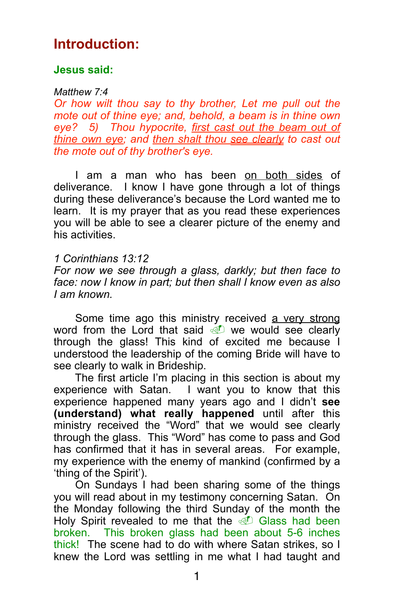## **Introduction:**

## **Jesus said:**

#### *Matthew 7:4*

*Or how wilt thou say to thy brother, Let me pull out the mote out of thine eye; and, behold, a beam is in thine own eye? 5) Thou hypocrite, first cast out the beam out of thine own eye; and then shalt thou see clearly to cast out the mote out of thy brother's eye.*

I am a man who has been on both sides of deliverance. I know I have gone through a lot of things during these deliverance's because the Lord wanted me to learn. It is my prayer that as you read these experiences you will be able to see a clearer picture of the enemy and his activities.

## *1 Corinthians 13:12*

*For now we see through a glass, darkly; but then face to face: now I know in part; but then shall I know even as also I am known.*

Some time ago this ministry received a very strong word from the Lord that said  $\mathbb{D}$  we would see clearly through the glass! This kind of excited me because I understood the leadership of the coming Bride will have to see clearly to walk in Brideship.

 The first article I'm placing in this section is about my experience with Satan. I want you to know that this experience happened many years ago and I didn't **see (understand) what really happened** until after this ministry received the "Word" that we would see clearly through the glass. This "Word" has come to pass and God has confirmed that it has in several areas. For example, my experience with the enemy of mankind (confirmed by a 'thing of the Spirit').

 On Sundays I had been sharing some of the things you will read about in my testimony concerning Satan. On the Monday following the third Sunday of the month the Holy Spirit revealed to me that the  $\mathbb{D}$  Glass had been broken. This broken glass had been about 5-6 inches thick!The scene had to do with where Satan strikes, so I knew the Lord was settling in me what I had taught and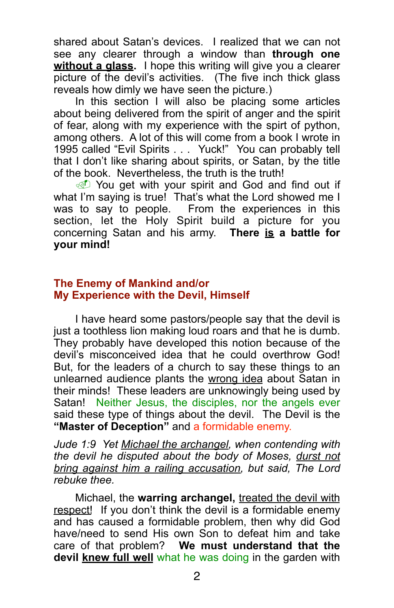shared about Satan's devices. I realized that we can not see any clearer through a window than **through one**  without a glass. I hope this writing will give you a clearer picture of the devil's activities. (The five inch thick glass reveals how dimly we have seen the picture.)

 In this section I will also be placing some articles about being delivered from the spirit of anger and the spirit of fear, along with my experience with the spirt of python. among others. A lot of this will come from a book I wrote in 1995 called "Evil Spirits . . . Yuck!" You can probably tell that I don't like sharing about spirits, or Satan, by the title of the book. Nevertheless, the truth is the truth!

**I** You get with your spirit and God and find out if what I'm saying is true! That's what the Lord showed me I was to say to people. From the experiences in this section, let the Holy Spirit build a picture for you concerning Satan and his army. **There is a battle for your mind!**

#### **The Enemy of Mankind and/or My Experience with the Devil, Himself**

 I have heard some pastors/people say that the devil is just a toothless lion making loud roars and that he is dumb. They probably have developed this notion because of the devil's misconceived idea that he could overthrow God! But, for the leaders of a church to say these things to an unlearned audience plants the wrong idea about Satan in their minds! These leaders are unknowingly being used by Satan! Neither Jesus, the disciples, nor the angels ever said these type of things about the devil. The Devil is the **"Master of Deception"** and a formidable enemy.

*Jude 1:9 Yet Michael the archangel, when contending with the devil he disputed about the body of Moses, durst not bring against him a railing accusation, but said, The Lord rebuke thee.*

 Michael, the **warring archangel,** treated the devil with respect! If you don't think the devil is a formidable enemy and has caused a formidable problem, then why did God have/need to send His own Son to defeat him and take care of that problem? **We must understand that the devil knew full well** what he was doing in the garden with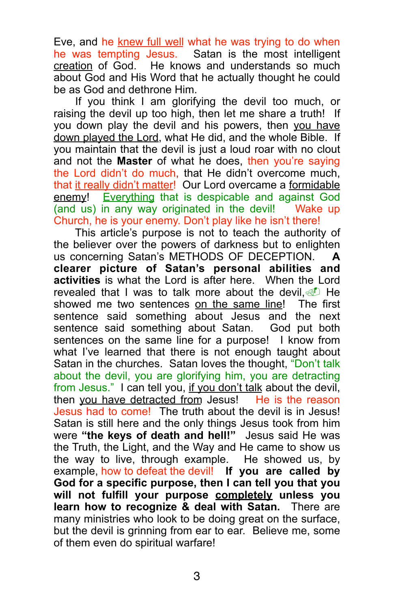Eve, and he knew full well what he was trying to do when he was tempting Jesus. Satan is the most intelligent creation of God. He knows and understands so much about God and His Word that he actually thought he could be as God and dethrone Him.

 If you think I am glorifying the devil too much, or raising the devil up too high, then let me share a truth! If you down play the devil and his powers, then you have down played the Lord, what He did, and the whole Bible. If you maintain that the devil is just a loud roar with no clout and not the **Master** of what he does, then you're saying the Lord didn't do much, that He didn't overcome much, that it really didn't matter! Our Lord overcame a formidable enemy! Everything that is despicable and against God (and us) in any way originated in the devil! Wake up Church, he is your enemy. Don't play like he isn't there!

 This article's purpose is not to teach the authority of the believer over the powers of darkness but to enlighten us concerning Satan's METHODS OF DECEPTION. **A clearer picture of Satan's personal abilities and activities** is what the Lord is after here. When the Lord revealed that I was to talk more about the devil,  $\circled{1}$  He showed me two sentences on the same line! The first sentence said something about Jesus and the next<br>sentence said something about Satan. God put both sentence said something about Satan. sentences on the same line for a purpose! I know from what I've learned that there is not enough taught about Satan in the churches. Satan loves the thought, "Don't talk about the devil, you are glorifying him, you are detracting from Jesus." I can tell you, if you don't talk about the devil, then you have detracted from Jesus! He is the reason Jesus had to come! The truth about the devil is in Jesus! Satan is still here and the only things Jesus took from him were **"the keys of death and hell!"** Jesus said He was the Truth, the Light, and the Way and He came to show us the way to live, through example. He showed us, by example, how to defeat the devil! **If you are called by God for a specific purpose, then I can tell you that you will not fulfill your purpose completely unless you learn how to recognize & deal with Satan.** There are many ministries who look to be doing great on the surface, but the devil is grinning from ear to ear. Believe me, some of them even do spiritual warfare!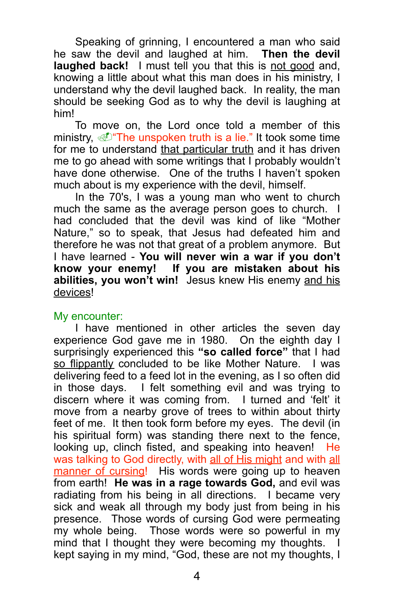Speaking of grinning, I encountered a man who said he saw the devil and laughed at him. **Then the devil laughed back!** I must tell you that this is not good and, knowing a little about what this man does in his ministry, I understand why the devil laughed back. In reality, the man should be seeking God as to why the devil is laughing at him!

 To move on, the Lord once told a member of this ministry,  $\mathcal{D}$  The unspoken truth is a lie." It took some time for me to understand that particular truth and it has driven me to go ahead with some writings that I probably wouldn't have done otherwise. One of the truths I haven't spoken much about is my experience with the devil, himself.

 In the 70's, I was a young man who went to church much the same as the average person goes to church. I had concluded that the devil was kind of like "Mother Nature," so to speak, that Jesus had defeated him and therefore he was not that great of a problem anymore. But I have learned - **You will never win a war if you don't know your enemy! If you are mistaken about his abilities, you won't win!** Jesus knew His enemy and his devices!

#### My encounter:

 I have mentioned in other articles the seven day experience God gave me in 1980. On the eighth day I surprisingly experienced this **"so called force"** that I had so flippantly concluded to be like Mother Nature. I was delivering feed to a feed lot in the evening, as I so often did in those days. I felt something evil and was trying to discern where it was coming from. I turned and 'felt' it move from a nearby grove of trees to within about thirty feet of me. It then took form before my eyes. The devil (in his spiritual form) was standing there next to the fence, looking up, clinch fisted, and speaking into heaven! He was talking to God directly, with all of His might and with all manner of cursing! His words were going up to heaven from earth! **He was in a rage towards God,** and evil was radiating from his being in all directions. I became very sick and weak all through my body just from being in his presence. Those words of cursing God were permeating my whole being. Those words were so powerful in my mind that I thought they were becoming my thoughts. I kept saying in my mind, "God, these are not my thoughts, I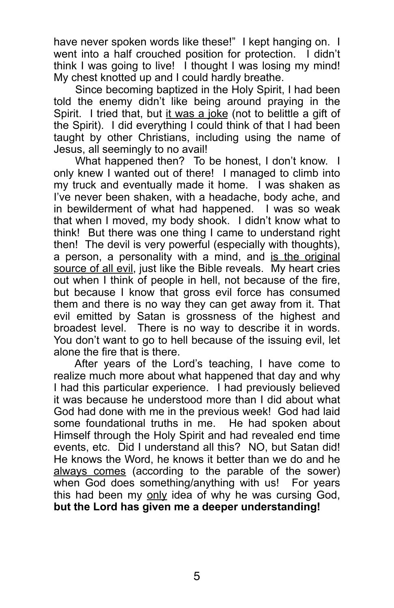have never spoken words like these!" I kept hanging on. I went into a half crouched position for protection. I didn't think I was going to live! I thought I was losing my mind! My chest knotted up and I could hardly breathe.

 Since becoming baptized in the Holy Spirit, I had been told the enemy didn't like being around praying in the Spirit. I tried that, but it was a joke (not to belittle a gift of the Spirit). I did everything I could think of that I had been taught by other Christians, including using the name of Jesus, all seemingly to no avail!

What happened then? To be honest, I don't know. I only knew I wanted out of there! I managed to climb into my truck and eventually made it home. I was shaken as I've never been shaken, with a headache, body ache, and in bewilderment of what had happened. I was so weak that when I moved, my body shook. I didn't know what to think! But there was one thing I came to understand right then! The devil is very powerful (especially with thoughts), a person, a personality with a mind, and is the original source of all evil, just like the Bible reveals. My heart cries out when I think of people in hell, not because of the fire, but because I know that gross evil force has consumed them and there is no way they can get away from it. That evil emitted by Satan is grossness of the highest and broadest level. There is no way to describe it in words. You don't want to go to hell because of the issuing evil, let alone the fire that is there.

 After years of the Lord's teaching, I have come to realize much more about what happened that day and why I had this particular experience. I had previously believed it was because he understood more than I did about what God had done with me in the previous week! God had laid some foundational truths in me. He had spoken about Himself through the Holy Spirit and had revealed end time events, etc. Did I understand all this? NO, but Satan did! He knows the Word, he knows it better than we do and he always comes (according to the parable of the sower) when God does something/anything with us! For years this had been my only idea of why he was cursing God, **but the Lord has given me a deeper understanding!**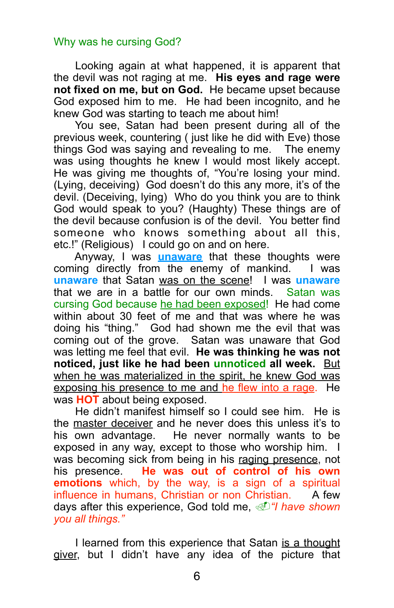## Why was he cursing God?

 Looking again at what happened, it is apparent that the devil was not raging at me. **His eyes and rage were not fixed on me, but on God.** He became upset because God exposed him to me. He had been incognito, and he knew God was starting to teach me about him!

 You see, Satan had been present during all of the previous week, countering ( just like he did with Eve) those things God was saying and revealing to me. The enemy was using thoughts he knew I would most likely accept. He was giving me thoughts of, "You're losing your mind. (Lying, deceiving) God doesn't do this any more, it's of the devil. (Deceiving, lying) Who do you think you are to think God would speak to you? (Haughty) These things are of the devil because confusion is of the devil. You better find someone who knows something about all this, etc.!" (Religious) I could go on and on here.

 Anyway, I was **unaware** that these thoughts were coming directly from the enemy of mankind. I was **unaware** that Satan was on the scene! I was **unaware** that we are in a battle for our own minds. Satan was cursing God because he had been exposed! He had come within about 30 feet of me and that was where he was doing his "thing." God had shown me the evil that was coming out of the grove. Satan was unaware that God was letting me feel that evil. **He was thinking he was not noticed, just like he had been unnoticed all week.** But when he was materialized in the spirit, he knew God was exposing his presence to me and he flew into a rage. He was **HOT** about being exposed.

 He didn't manifest himself so I could see him. He is the master deceiver and he never does this unless it's to his own advantage. He never normally wants to be exposed in any way, except to those who worship him. I was becoming sick from being in his raging presence, not his presence. **He was out of control of his own emotions** which, by the way, is a sign of a spiritual influence in humans, Christian or non Christian. A few days after this experience, God told me, !*"I have shown you all things."*

 I learned from this experience that Satan is a thought giver, but I didn't have any idea of the picture that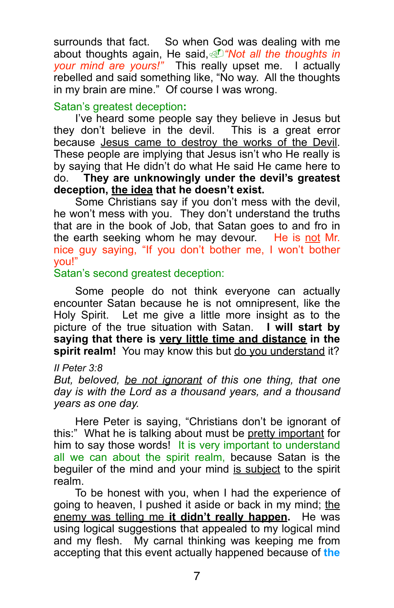surrounds that fact. So when God was dealing with me about thoughts again, He said,!*"Not all the thoughts in your mind are yours!"* This really upset me. I actually rebelled and said something like, "No way. All the thoughts in my brain are mine." Of course I was wrong.

## Satan's greatest deception**:**

 I've heard some people say they believe in Jesus but they don't believe in the devil. This is a great error because Jesus came to destroy the works of the Devil. These people are implying that Jesus isn't who He really is by saying that He didn't do what He said He came here to do. **They are unknowingly under the devil's greatest deception, the idea that he doesn't exist.** 

 Some Christians say if you don't mess with the devil, he won't mess with you. They don't understand the truths that are in the book of Job, that Satan goes to and fro in the earth seeking whom he may devour. He is not Mr. nice guy saying, "If you don't bother me, I won't bother you!"

## Satan's second greatest deception:

Some people do not think everyone can actually encounter Satan because he is not omnipresent, like the Holy Spirit. Let me give a little more insight as to the picture of the true situation with Satan. **I will start by saying that there is very little time and distance in the**  spirit realm! You may know this but do you understand it?

#### *II Peter 3:8*

*But, beloved, be not ignorant of this one thing, that one day is with the Lord as a thousand years, and a thousand years as one day.*

 Here Peter is saying, "Christians don't be ignorant of this:" What he is talking about must be pretty important for him to say those words! It is very important to understand all we can about the spirit realm, because Satan is the beguiler of the mind and your mind is subject to the spirit realm.

 To be honest with you, when I had the experience of going to heaven, I pushed it aside or back in my mind; the enemy was telling me **it didn't really happen.** He was using logical suggestions that appealed to my logical mind and my flesh. My carnal thinking was keeping me from accepting that this event actually happened because of **the**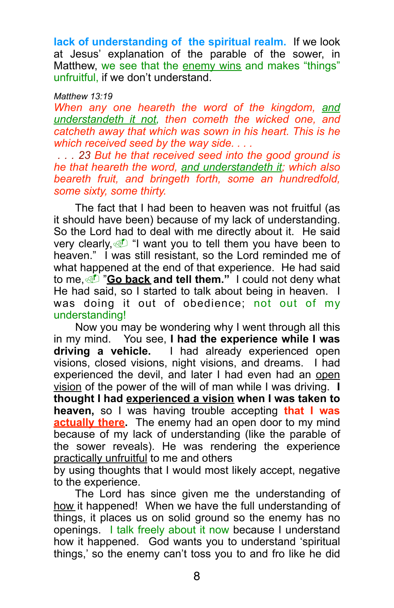**lack of understanding of the spiritual realm.** If we look at Jesus' explanation of the parable of the sower, in Matthew, we see that the enemy wins and makes "things" unfruitful, if we don't understand.

#### *Matthew 13:19*

*When any one heareth the word of the kingdom, and understandeth it not, then cometh the wicked one, and catcheth away that which was sown in his heart. This is he which received seed by the way side. . . .*

 *. . . 23 But he that received seed into the good ground is he that heareth the word, and understandeth it; which also beareth fruit, and bringeth forth, some an hundredfold, some sixty, some thirty.*

 The fact that I had been to heaven was not fruitful (as it should have been) because of my lack of understanding. So the Lord had to deal with me directly about it. He said very clearly,  $\mathbb{I}$  "I want you to tell them you have been to heaven." I was still resistant, so the Lord reminded me of what happened at the end of that experience. He had said to me, *C* "**Go back and tell them.**" I could not deny what He had said, so I started to talk about being in heaven. I was doing it out of obedience; not out of my understanding!

 Now you may be wondering why I went through all this in my mind. You see, **I had the experience while I was driving a vehicle.** I had already experienced open visions, closed visions, night visions, and dreams. I had experienced the devil, and later I had even had an open vision of the power of the will of man while I was driving. **I thought I had experienced a vision when I was taken to heaven,** so I was having trouble accepting **that I was actually there.** The enemy had an open door to my mind because of my lack of understanding (like the parable of the sower reveals). He was rendering the experience practically unfruitful to me and others

by using thoughts that I would most likely accept, negative to the experience.

 The Lord has since given me the understanding of how it happened! When we have the full understanding of things, it places us on solid ground so the enemy has no openings. I talk freely about it now because I understand how it happened. God wants you to understand 'spiritual things,' so the enemy can't toss you to and fro like he did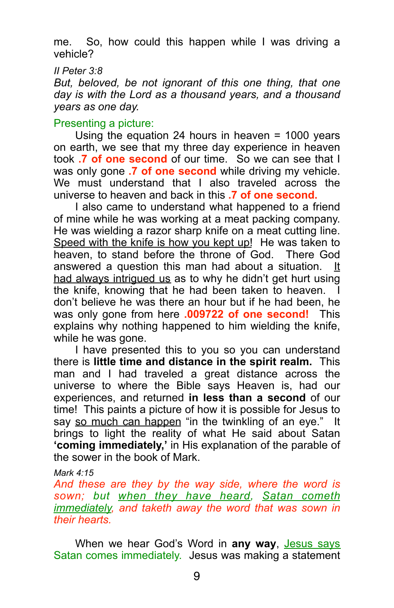me. So, how could this happen while I was driving a vehicle?

*II Peter 3:8* 

*But, beloved, be not ignorant of this one thing, that one day is with the Lord as a thousand years, and a thousand years as one day.*

## Presenting a picture:

 Using the equation 24 hours in heaven = 1000 years on earth, we see that my three day experience in heaven took **.7 of one second** of our time. So we can see that I was only gone **.7 of one second** while driving my vehicle. We must understand that I also traveled across the universe to heaven and back in this **.7 of one second.**

 I also came to understand what happened to a friend of mine while he was working at a meat packing company. He was wielding a razor sharp knife on a meat cutting line. Speed with the knife is how you kept up! He was taken to heaven, to stand before the throne of God. There God answered a question this man had about a situation. It had always intrigued us as to why he didn't get hurt using the knife, knowing that he had been taken to heaven. don't believe he was there an hour but if he had been, he was only gone from here **.009722 of one second!** This explains why nothing happened to him wielding the knife, while he was gone.

 I have presented this to you so you can understand there is **little time and distance in the spirit realm.** This man and I had traveled a great distance across the universe to where the Bible says Heaven is, had our experiences, and returned **in less than a second** of our time! This paints a picture of how it is possible for Jesus to say so much can happen "in the twinkling of an eye." It brings to light the reality of what He said about Satan **'coming immediately,'** in His explanation of the parable of the sower in the book of Mark.

#### *Mark 4:15*

*And these are they by the way side, where the word is sown; but when they have heard, Satan cometh immediately, and taketh away the word that was sown in their hearts.*

When we hear God's Word in any way, Jesus says Satan comes immediately. Jesus was making a statement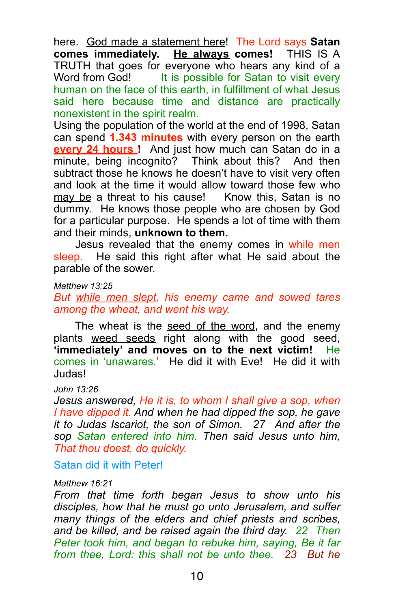here. God made a statement here! The Lord says **Satan comes immediately. He always comes!** THIS IS A TRUTH that goes for everyone who hears any kind of a Word from God! It is possible for Satan to visit every human on the face of this earth, in fulfillment of what Jesus said here because time and distance are practically nonexistent in the spirit realm.

Using the population of the world at the end of 1998, Satan can spend **1.343 minutes** with every person on the earth **every 24 hours !** And just how much can Satan do in a minute, being incognito? Think about this? And then subtract those he knows he doesn't have to visit very often and look at the time it would allow toward those few who may be a threat to his cause! Know this, Satan is no dummy. He knows those people who are chosen by God for a particular purpose. He spends a lot of time with them and their minds, **unknown to them.** 

 Jesus revealed that the enemy comes in while men sleep. He said this right after what He said about the parable of the sower.

*Matthew 13:25* 

*But while men slept, his enemy came and sowed tares among the wheat, and went his way.*

The wheat is the seed of the word, and the enemy plants weed seeds right along with the good seed, **'immediately' and moves on to the next victim!** He comes in 'unawares.'He did it with Eve! He did it with Judas!

*John 13:26* 

*Jesus answered, He it is, to whom I shall give a sop, when I have dipped it. And when he had dipped the sop, he gave it to Judas Iscariot, the son of Simon. 27 And after the sop Satan entered into him. Then said Jesus unto him, That thou doest, do quickly.*

Satan did it with Peter!

#### *Matthew 16:21*

*From that time forth began Jesus to show unto his disciples, how that he must go unto Jerusalem, and suffer many things of the elders and chief priests and scribes, and be killed, and be raised again the third day. 22 Then Peter took him, and began to rebuke him, saying, Be it far from thee, Lord: this shall not be unto thee. 23 But he*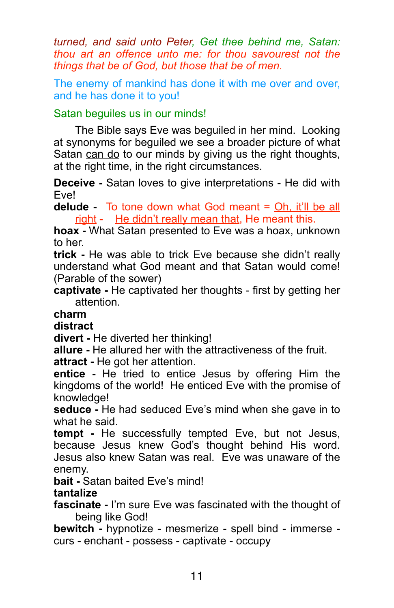*turned, and said unto Peter, Get thee behind me, Satan: thou art an offence unto me: for thou savourest not the things that be of God, but those that be of men.* 

The enemy of mankind has done it with me over and over, and he has done it to you!

## Satan beguiles us in our minds!

 The Bible says Eve was beguiled in her mind. Looking at synonyms for beguiled we see a broader picture of what Satan can do to our minds by giving us the right thoughts, at the right time, in the right circumstances.

**Deceive -** Satan loves to give interpretations - He did with Eve!

**delude -** To tone down what God meant = Oh, it'll be all right - He didn't really mean that, He meant this.

**hoax -** What Satan presented to Eve was a hoax, unknown to her.

**trick -** He was able to trick Eve because she didn't really understand what God meant and that Satan would come! (Parable of the sower)

**captivate -** He captivated her thoughts - first by getting her attention.

## **charm**

**distract**

**divert -** He diverted her thinking!

**allure -** He allured her with the attractiveness of the fruit.

**attract -** He got her attention.

**entice -** He tried to entice Jesus by offering Him the kingdoms of the world!He enticed Eve with the promise of knowledge!

**seduce -** He had seduced Eve's mind when she gave in to what he said.

**tempt -** He successfully tempted Eve, but not Jesus, because Jesus knew God's thought behind His word. Jesus also knew Satan was real. Eve was unaware of the enemy.

**bait -** Satan baited Eve's mind!

## **tantalize**

**fascinate -** I'm sure Eve was fascinated with the thought of being like God!

**bewitch -** hypnotize - mesmerize - spell bind - immerse curs - enchant - possess - captivate - occupy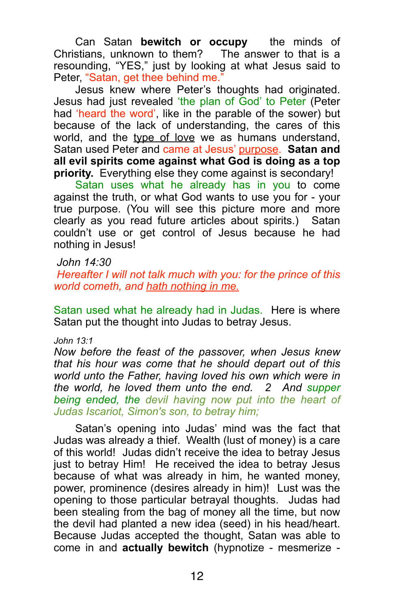Can Satan **bewitch or occupy** the minds of Christians, unknown to them? The answer to that is a resounding, "YES," just by looking at what Jesus said to Peter, "Satan, get thee behind me."

 Jesus knew where Peter's thoughts had originated. Jesus had just revealed 'the plan of God' to Peter (Peter had 'heard the word', like in the parable of the sower) but because of the lack of understanding, the cares of this world, and the type of love we as humans understand, Satan used Peter and came at Jesus' purpose. **Satan and all evil spirits come against what God is doing as a top priority.** Everything else they come against is secondary!

Satan uses what he already has in you to come against the truth, or what God wants to use you for - your true purpose. (You will see this picture more and more clearly as you read future articles about spirits.) Satan couldn't use or get control of Jesus because he had nothing in Jesus!

#### *John 14:30*

 *Hereafter I will not talk much with you: for the prince of this world cometh, and hath nothing in me.*

Satan used what he already had in Judas. Here is where Satan put the thought into Judas to betray Jesus.

#### *John 13:1*

*Now before the feast of the passover, when Jesus knew that his hour was come that he should depart out of this world unto the Father, having loved his own which were in the world, he loved them unto the end. 2 And supper being ended, the devil having now put into the heart of Judas Iscariot, Simon's son, to betray him;*

 Satan's opening into Judas' mind was the fact that Judas was already a thief. Wealth (lust of money) is a care of this world! Judas didn't receive the idea to betray Jesus just to betray Him! He received the idea to betray Jesus because of what was already in him, he wanted money, power, prominence (desires already in him)! Lust was the opening to those particular betrayal thoughts. Judas had been stealing from the bag of money all the time, but now the devil had planted a new idea (seed) in his head/heart. Because Judas accepted the thought, Satan was able to come in and **actually bewitch** (hypnotize - mesmerize -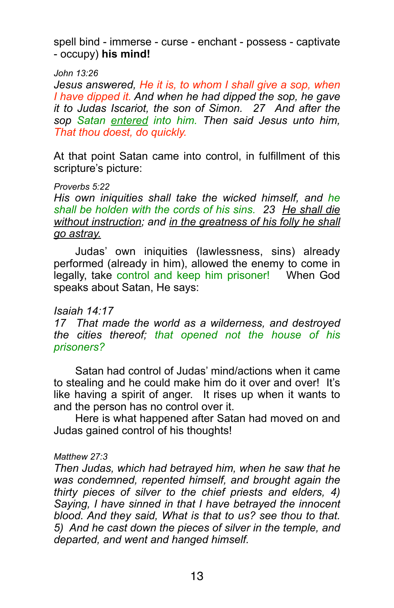spell bind - immerse - curse - enchant - possess - captivate - occupy) **his mind!**

#### *John 13:26*

*Jesus answered, He it is, to whom I shall give a sop, when I have dipped it. And when he had dipped the sop, he gave it to Judas Iscariot, the son of Simon. 27 And after the sop Satan entered into him. Then said Jesus unto him, That thou doest, do quickly.*

At that point Satan came into control, in fulfillment of this scripture's picture:

#### *Proverbs 5:22*

*His own iniquities shall take the wicked himself, and he shall be holden with the cords of his sins. 23 He shall die without instruction; and in the greatness of his folly he shall go astray.*

 Judas' own iniquities (lawlessness, sins) already performed (already in him), allowed the enemy to come in legally, take control and keep him prisoner! When God speaks about Satan, He says:

#### *Isaiah 14:17*

*17 That made the world as a wilderness, and destroyed the cities thereof; that opened not the house of his prisoners?*

 Satan had control of Judas' mind/actions when it came to stealing and he could make him do it over and over! It's like having a spirit of anger. It rises up when it wants to and the person has no control over it.

 Here is what happened after Satan had moved on and Judas gained control of his thoughts!

#### *Matthew 27:3*

*Then Judas, which had betrayed him, when he saw that he was condemned, repented himself, and brought again the thirty pieces of silver to the chief priests and elders, 4) Saying, I have sinned in that I have betrayed the innocent blood. And they said, What is that to us? see thou to that. 5) And he cast down the pieces of silver in the temple, and departed, and went and hanged himself.*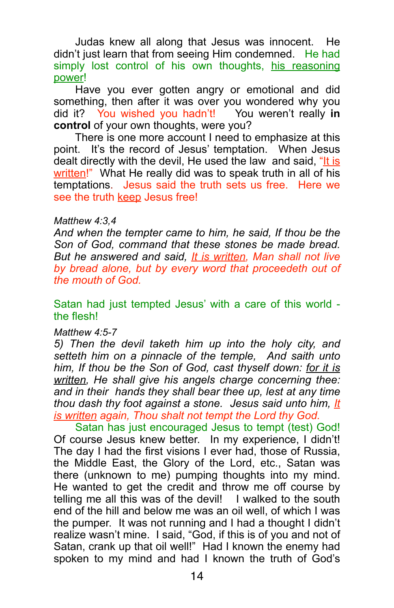Judas knew all along that Jesus was innocent. He didn't just learn that from seeing Him condemned. He had simply lost control of his own thoughts, his reasoning power!

 Have you ever gotten angry or emotional and did something, then after it was over you wondered why you did it? You wished you hadn't! You weren't really **in control** of your own thoughts, were you?

 There is one more account I need to emphasize at this point. It's the record of Jesus' temptation. When Jesus dealt directly with the devil, He used the law and said, "It is written!" What He really did was to speak truth in all of his temptations. Jesus said the truth sets us free. Here we see the truth keep Jesus free!

#### *Matthew 4:3,4*

*And when the tempter came to him, he said, If thou be the Son of God, command that these stones be made bread. But he answered and said, It is written, Man shall not live by bread alone, but by every word that proceedeth out of the mouth of God.* 

Satan had just tempted Jesus' with a care of this world the flesh!

#### *Matthew 4:5-7*

*5) Then the devil taketh him up into the holy city, and setteth him on a pinnacle of the temple, And saith unto him, If thou be the Son of God, cast thyself down: for it is written, He shall give his angels charge concerning thee: and in their hands they shall bear thee up, lest at any time thou dash thy foot against a stone. Jesus said unto him, It is written again, Thou shalt not tempt the Lord thy God.*

Satan has just encouraged Jesus to tempt (test) God! Of course Jesus knew better. In my experience, I didn't! The day I had the first visions I ever had, those of Russia, the Middle East, the Glory of the Lord, etc., Satan was there (unknown to me) pumping thoughts into my mind. He wanted to get the credit and throw me off course by telling me all this was of the devil! I walked to the south end of the hill and below me was an oil well, of which I was the pumper. It was not running and I had a thought I didn't realize wasn't mine. I said, "God, if this is of you and not of Satan, crank up that oil well!" Had I known the enemy had spoken to my mind and had I known the truth of God's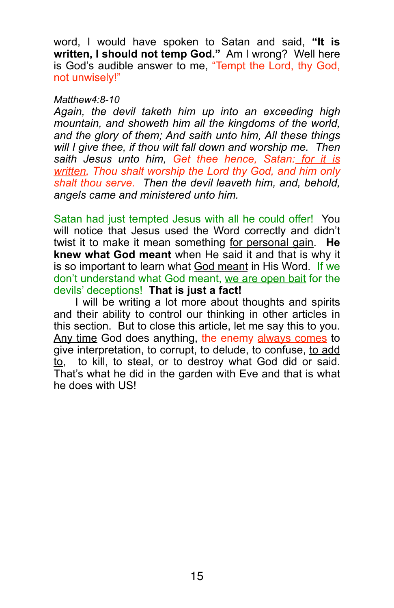word, I would have spoken to Satan and said, **"It is written, I should not temp God."** Am I wrong? Well here is God's audible answer to me, "Tempt the Lord, thy God, not unwisely!"

#### *Matthew4:8-10*

*Again, the devil taketh him up into an exceeding high mountain, and showeth him all the kingdoms of the world, and the glory of them; And saith unto him, All these things will I give thee, if thou wilt fall down and worship me. Then saith Jesus unto him, Get thee hence, Satan: for it is written, Thou shalt worship the Lord thy God, and him only shalt thou serve. Then the devil leaveth him, and, behold, angels came and ministered unto him.*

Satan had just tempted Jesus with all he could offer! You will notice that Jesus used the Word correctly and didn't twist it to make it mean something for personal gain. **He knew what God meant** when He said it and that is why it is so important to learn what God meant in His Word. If we don't understand what God meant, we are open bait for the devils' deceptions! **That is just a fact!**

 I will be writing a lot more about thoughts and spirits and their ability to control our thinking in other articles in this section. But to close this article, let me say this to you. Any time God does anything, the enemy always comes to give interpretation, to corrupt, to delude, to confuse, to add to, to kill, to steal, or to destroy what God did or said. That's what he did in the garden with Eve and that is what he does with US!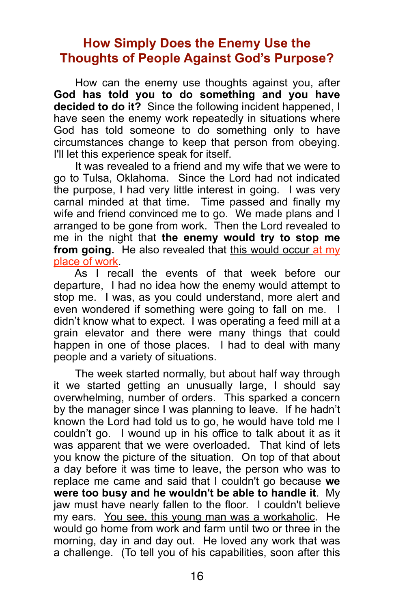## **How Simply Does the Enemy Use the Thoughts of People Against God's Purpose?**

 How can the enemy use thoughts against you, after **God has told you to do something and you have decided to do it?** Since the following incident happened, I have seen the enemy work repeatedly in situations where God has told someone to do something only to have circumstances change to keep that person from obeying. I'll let this experience speak for itself.

 It was revealed to a friend and my wife that we were to go to Tulsa, Oklahoma. Since the Lord had not indicated the purpose, I had very little interest in going. I was very carnal minded at that time. Time passed and finally my wife and friend convinced me to go. We made plans and I arranged to be gone from work. Then the Lord revealed to me in the night that **the enemy would try to stop me from going.** He also revealed that this would occur at my place of work.

 As I recall the events of that week before our departure, I had no idea how the enemy would attempt to stop me. I was, as you could understand, more alert and even wondered if something were going to fall on me. I didn't know what to expect. I was operating a feed mill at a grain elevator and there were many things that could happen in one of those places. I had to deal with many people and a variety of situations.

 The week started normally, but about half way through it we started getting an unusually large, I should say overwhelming, number of orders. This sparked a concern by the manager since I was planning to leave. If he hadn't known the Lord had told us to go, he would have told me I couldn't go. I wound up in his office to talk about it as it was apparent that we were overloaded. That kind of lets you know the picture of the situation. On top of that about a day before it was time to leave, the person who was to replace me came and said that I couldn't go because **we were too busy and he wouldn't be able to handle it**. My jaw must have nearly fallen to the floor. I couldn't believe my ears. You see, this young man was a workaholic. He would go home from work and farm until two or three in the morning, day in and day out. He loved any work that was a challenge. (To tell you of his capabilities, soon after this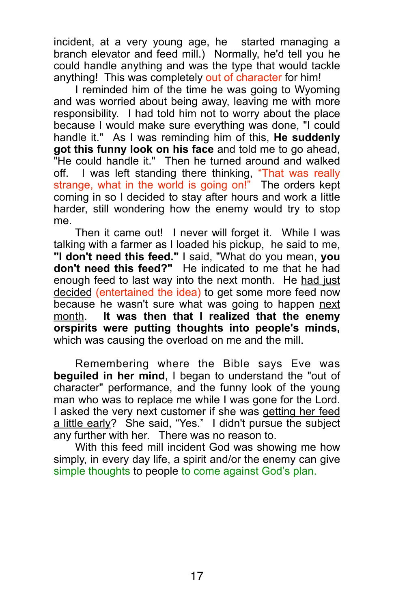incident, at a very young age, he started managing a branch elevator and feed mill.) Normally, he'd tell vou he could handle anything and was the type that would tackle anything!This was completely out of character for him!

 I reminded him of the time he was going to Wyoming and was worried about being away, leaving me with more responsibility. I had told him not to worry about the place because I would make sure everything was done, "I could handle it." As I was reminding him of this, **He suddenly got this funny look on his face** and told me to go ahead, "He could handle it." Then he turned around and walked off. I was left standing there thinking, "That was really strange, what in the world is going on!" The orders kept coming in so I decided to stay after hours and work a little harder, still wondering how the enemy would try to stop me.

 Then it came out! I never will forget it. While I was talking with a farmer as I loaded his pickup, he said to me, **"I don't need this feed."** I said, "What do you mean, **you don't need this feed?"** He indicated to me that he had enough feed to last way into the next month. He had just decided (entertained the idea) to get some more feed now because he wasn't sure what was going to happen next month. **It was then that I realized that the enemy orspirits were putting thoughts into people's minds,**  which was causing the overload on me and the mill.

 Remembering where the Bible says Eve was **beguiled in her mind**, I began to understand the "out of character" performance, and the funny look of the young man who was to replace me while I was gone for the Lord. I asked the very next customer if she was getting her feed a little early? She said, "Yes." I didn't pursue the subject any further with her. There was no reason to.

 With this feed mill incident God was showing me how simply, in every day life, a spirit and/or the enemy can give simple thoughts to people to come against God's plan.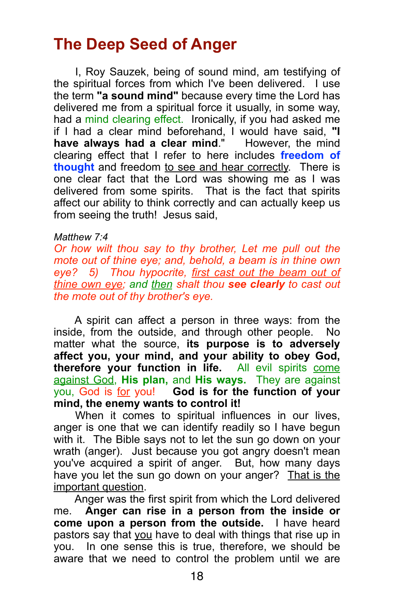# **The Deep Seed of Anger**

 I, Roy Sauzek, being of sound mind, am testifying of the spiritual forces from which I've been delivered. I use the term **"a sound mind"** because every time the Lord has delivered me from a spiritual force it usually, in some way, had a mind clearing effect. Ironically, if you had asked me if I had a clear mind beforehand, I would have said, **"I have always had a clear mind**." However, the mind clearing effect that I refer to here includes **freedom of thought** and freedom to see and hear correctly. There is one clear fact that the Lord was showing me as I was delivered from some spirits. That is the fact that spirits affect our ability to think correctly and can actually keep us from seeing the truth!Jesus said,

#### *Matthew 7:4*

*Or how wilt thou say to thy brother, Let me pull out the mote out of thine eye; and, behold, a beam is in thine own eye? 5) Thou hypocrite, first cast out the beam out of thine own eye; and then shalt thou see clearly to cast out the mote out of thy brother's eye.*

 A spirit can affect a person in three ways: from the inside, from the outside, and through other people. No matter what the source, **its purpose is to adversely affect you, your mind, and your ability to obey God, therefore your function in life.** All evil spirits come against God, **His plan,** and **His ways.** They are against you, God is for you! **God is for the function of your mind, the enemy wants to control it!**

 When it comes to spiritual influences in our lives, anger is one that we can identify readily so I have begun with it. The Bible says not to let the sun go down on your wrath (anger). Just because you got angry doesn't mean you've acquired a spirit of anger. But, how many days have you let the sun go down on your anger? That is the important question.

 Anger was the first spirit from which the Lord delivered me. **Anger can rise in a person from the inside or come upon a person from the outside.** I have heard pastors say that you have to deal with things that rise up in you. In one sense this is true, therefore, we should be aware that we need to control the problem until we are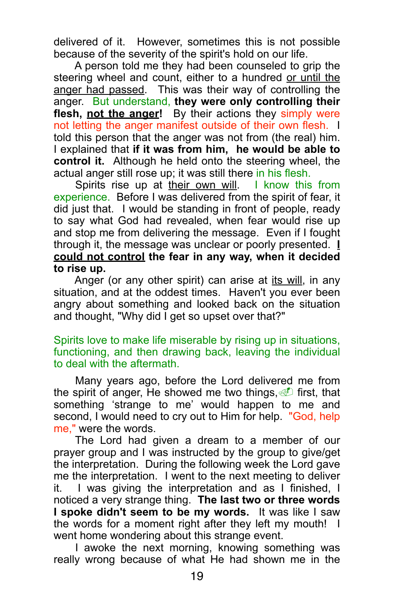delivered of it. However, sometimes this is not possible because of the severity of the spirit's hold on our life.

 A person told me they had been counseled to grip the steering wheel and count, either to a hundred or until the anger had passed. This was their way of controlling the anger. But understand, **they were only controlling their**  flesh, not the anger! By their actions they simply were not letting the anger manifest outside of their own flesh. I told this person that the anger was not from (the real) him. I explained that **if it was from him, he would be able to control it.** Although he held onto the steering wheel, the actual anger still rose up; it was still there in his flesh.

 Spirits rise up at their own will. I know this from experience. Before I was delivered from the spirit of fear, it did just that. I would be standing in front of people, ready to say what God had revealed, when fear would rise up and stop me from delivering the message. Even if I fought through it, the message was unclear or poorly presented. **I could not control the fear in any way, when it decided to rise up.**

 Anger (or any other spirit) can arise at its will, in any situation, and at the oddest times. Haven't you ever been angry about something and looked back on the situation and thought, "Why did I get so upset over that?"

Spirits love to make life miserable by rising up in situations, functioning, and then drawing back, leaving the individual to deal with the aftermath.

 Many years ago, before the Lord delivered me from the spirit of anger, He showed me two things,  $\mathbb{I}$  first, that something 'strange to me' would happen to me and second, I would need to cry out to Him for help. "God, help me," were the words.

 The Lord had given a dream to a member of our prayer group and I was instructed by the group to give/get the interpretation. During the following week the Lord gave me the interpretation. I went to the next meeting to deliver it. I was giving the interpretation and as I finished, I noticed a very strange thing. **The last two or three words I spoke didn't seem to be my words.** It was like I saw the words for a moment right after they left my mouth! I went home wondering about this strange event.

 I awoke the next morning, knowing something was really wrong because of what He had shown me in the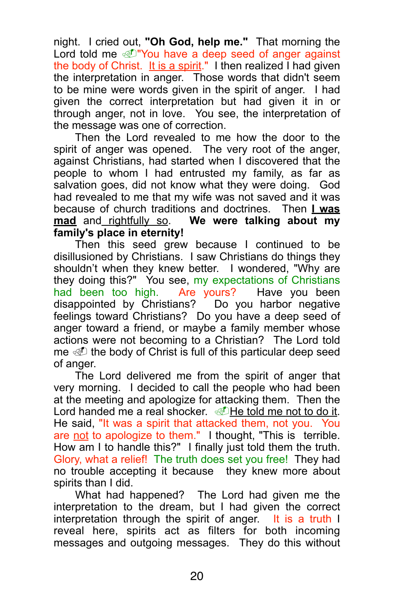night. I cried out, **"Oh God, help me."** That morning the Lord told me @ "You have a deep seed of anger against the body of Christ. It is a spirit." I then realized I had given the interpretation in anger. Those words that didn't seem to be mine were words given in the spirit of anger. I had given the correct interpretation but had given it in or through anger, not in love. You see, the interpretation of the message was one of correction.

 Then the Lord revealed to me how the door to the spirit of anger was opened. The very root of the anger, against Christians, had started when I discovered that the people to whom I had entrusted my family, as far as salvation goes, did not know what they were doing. God had revealed to me that my wife was not saved and it was because of church traditions and doctrines. Then **I was mad** and rightfully so. **We were talking about my family's place in eternity!** 

 Then this seed grew because I continued to be disillusioned by Christians. I saw Christians do things they shouldn't when they knew better. I wondered, "Why are they doing this?" You see, my expectations of Christians had been too high. Are yours? Have you been disappointed by Christians? Do you harbor negative feelings toward Christians? Do you have a deep seed of anger toward a friend, or maybe a family member whose actions were not becoming to a Christian? The Lord told me  $\mathcal{D}$  the body of Christ is full of this particular deep seed of anger.

 The Lord delivered me from the spirit of anger that very morning. I decided to call the people who had been at the meeting and apologize for attacking them. Then the Lord handed me a real shocker.  $\mathcal{D}$  He told me not to do it. He said, "It was a spirit that attacked them, not you. You are not to apologize to them." I thought, "This is terrible. How am I to handle this?" I finally just told them the truth. Glory, what a relief! The truth does set you free! They had no trouble accepting it because they knew more about spirits than I did.

 What had happened? The Lord had given me the interpretation to the dream, but I had given the correct interpretation through the spirit of anger. It is a truth I reveal here, spirits act as filters for both incoming messages and outgoing messages. They do this without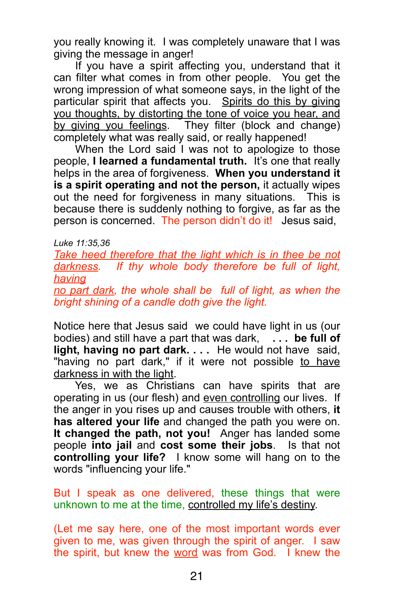you really knowing it. I was completely unaware that I was giving the message in anger!

 If you have a spirit affecting you, understand that it can filter what comes in from other people. You get the wrong impression of what someone says, in the light of the particular spirit that affects you. Spirits do this by giving you thoughts, by distorting the tone of voice you hear, and by giving you feelings. They filter (block and change) completely what was really said, or really happened!

 When the Lord said I was not to apologize to those people, **I learned a fundamental truth.** It's one that really helps in the area of forgiveness. **When you understand it is a spirit operating and not the person,** it actually wipes out the need for forgiveness in many situations. This is because there is suddenly nothing to forgive, as far as the person is concerned. The person didn't do it! Jesus said,

*Luke 11:35,36*

Take heed therefore that the light which is in thee be not *darkness. If thy whole body therefore be full of light, having* 

*no part dark, the whole shall be full of light, as when the bright shining of a candle doth give the light.*

Notice here that Jesus said we could have light in us (our bodies) and still have a part that was dark, **. . . be full of light, having no part dark. . . .** He would not have said, "having no part dark," if it were not possible to have darkness in with the light.

 Yes, we as Christians can have spirits that are operating in us (our flesh) and even controlling our lives. If the anger in you rises up and causes trouble with others, **it has altered your life** and changed the path you were on. **It changed the path, not you!** Anger has landed some people **into jail** and **cost some their jobs**. Is that not **controlling your life?** I know some will hang on to the words "influencing your life."

But I speak as one delivered, these things that were unknown to me at the time, controlled my life's destiny.

(Let me say here, one of the most important words ever given to me, was given through the spirit of anger. I saw the spirit, but knew the word was from God. I knew the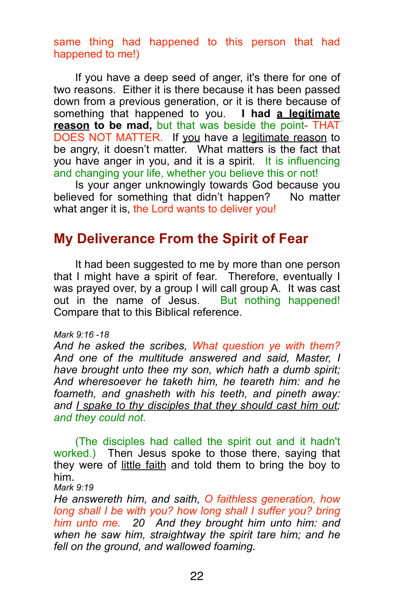## same thing had happened to this person that had happened to me!)

 If you have a deep seed of anger, it's there for one of two reasons. Either it is there because it has been passed down from a previous generation, or it is there because of something that happened to you. **I had a legitimate reason to be mad,** but that was beside the point- THAT DOES NOT MATTER. If you have a legitimate reason to be angry, it doesn't matter. What matters is the fact that you have anger in you, and it is a spirit. It is influencing and changing your life, whether you believe this or not!

 Is your anger unknowingly towards God because you believed for something that didn't happen? No matter what anger it is, the Lord wants to deliver you!

# **My Deliverance From the Spirit of Fear**

 It had been suggested to me by more than one person that I might have a spirit of fear. Therefore, eventually I was prayed over, by a group I will call group A. It was cast out in the name of Jesus. But nothing happened! Compare that to this Biblical reference.

#### *Mark 9:16 -18*

*And he asked the scribes, What question ye with them? And one of the multitude answered and said, Master, I have brought unto thee my son, which hath a dumb spirit; And wheresoever he taketh him, he teareth him: and he foameth, and gnasheth with his teeth, and pineth away: and I spake to thy disciples that they should cast him out; and they could not.* 

(The disciples had called the spirit out and it hadn't worked.) Then Jesus spoke to those there, saying that they were of little faith and told them to bring the boy to him.

*Mark 9:19* 

*He answereth him, and saith, O faithless generation, how long shall I be with you? how long shall I suffer you? bring him unto me. 20 And they brought him unto him: and when he saw him, straightway the spirit tare him; and he fell on the ground, and wallowed foaming.*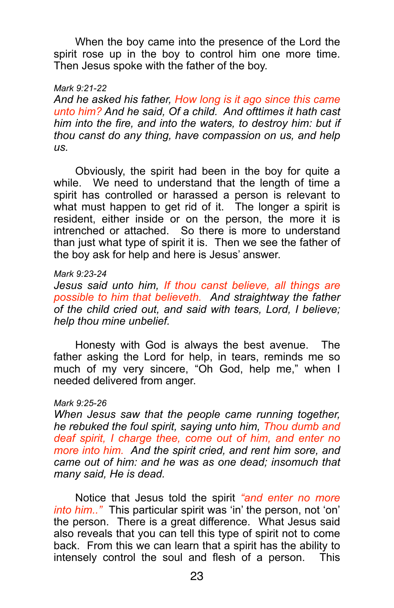When the boy came into the presence of the Lord the spirit rose up in the boy to control him one more time. Then Jesus spoke with the father of the boy.

#### *Mark 9:21-22*

*And he asked his father, How long is it ago since this came unto him? And he said, Of a child. And ofttimes it hath cast him into the fire, and into the waters, to destroy him: but if thou canst do any thing, have compassion on us, and help us.*

 Obviously, the spirit had been in the boy for quite a while. We need to understand that the length of time a spirit has controlled or harassed a person is relevant to what must happen to get rid of it. The longer a spirit is resident, either inside or on the person, the more it is intrenched or attached. So there is more to understand than just what type of spirit it is. Then we see the father of the boy ask for help and here is Jesus' answer.

#### *Mark 9:23-24*

*Jesus said unto him, If thou canst believe, all things are possible to him that believeth. And straightway the father of the child cried out, and said with tears, Lord, I believe; help thou mine unbelief.*

 Honesty with God is always the best avenue. The father asking the Lord for help, in tears, reminds me so much of my very sincere, "Oh God, help me," when I needed delivered from anger.

#### *Mark 9:25-26*

*When Jesus saw that the people came running together, he rebuked the foul spirit, saying unto him, Thou dumb and deaf spirit, I charge thee, come out of him, and enter no more into him. And the spirit cried, and rent him sore, and came out of him: and he was as one dead; insomuch that many said, He is dead.*

 Notice that Jesus told the spirit *"and enter no more into him.."* This particular spirit was 'in' the person, not 'on' the person. There is a great difference. What Jesus said also reveals that you can tell this type of spirit not to come back. From this we can learn that a spirit has the ability to intensely control the soul and flesh of a person. This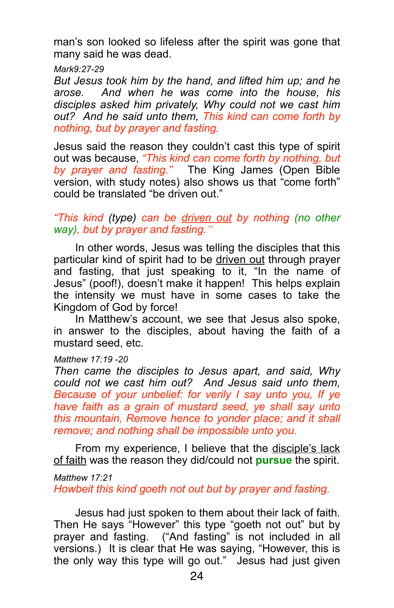man's son looked so lifeless after the spirit was gone that many said he was dead.

*Mark9:27-29*

*But Jesus took him by the hand, and lifted him up; and he arose. And when he was come into the house, his disciples asked him privately, Why could not we cast him out? And he said unto them, This kind can come forth by nothing, but by prayer and fasting.*

Jesus said the reason they couldn't cast this type of spirit out was because, *"This kind can come forth by nothing, but by prayer and fasting."* The King James (Open Bible version, with study notes) also shows us that "come forth" could be translated "be driven out."

## *"This kind (type) can be driven out by nothing (no other way), but by prayer and fasting."*

 In other words, Jesus was telling the disciples that this particular kind of spirit had to be driven out through prayer and fasting, that just speaking to it, "In the name of Jesus" (poof!), doesn't make it happen! This helps explain the intensity we must have in some cases to take the Kingdom of God by force!

 In Matthew's account, we see that Jesus also spoke, in answer to the disciples, about having the faith of a mustard seed, etc.

# *Matthew 17:19 -20*

*Then came the disciples to Jesus apart, and said, Why could not we cast him out? And Jesus said unto them, Because of your unbelief: for verily I say unto you, If ye have faith as a grain of mustard seed, ye shall say unto this mountain, Remove hence to yonder place; and it shall remove; and nothing shall be impossible unto you.*

From my experience, I believe that the disciple's lack of faith was the reason they did/could not **pursue** the spirit.

*Matthew 17:21* 

*Howbeit this kind goeth not out but by prayer and fasting.*

 Jesus had just spoken to them about their lack of faith. Then He says "However" this type "goeth not out" but by prayer and fasting. ("And fasting" is not included in all versions.) It is clear that He was saying, "However, this is the only way this type will go out." Jesus had just given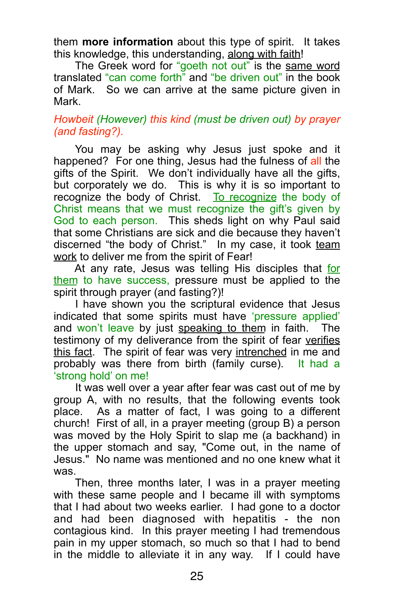them **more information** about this type of spirit. It takes this knowledge, this understanding, along with faith!

 The Greek word for "goeth not out" is the same word translated "can come forth" and "be driven out" in the book of Mark. So we can arrive at the same picture given in Mark.

## *Howbeit (However) this kind (must be driven out) by prayer (and fasting?).*

 You may be asking why Jesus just spoke and it happened? For one thing, Jesus had the fulness of all the gifts of the Spirit. We don't individually have all the gifts, but corporately we do. This is why it is so important to recognize the body of Christ.To recognize the body of Christ means that we must recognize the gift's given by God to each person. This sheds light on why Paul said that some Christians are sick and die because they haven't discerned "the body of Christ." In my case, it took team work to deliver me from the spirit of Fear!

 At any rate, Jesus was telling His disciples that for them to have success, pressure must be applied to the spirit through prayer (and fasting?)!

 I have shown you the scriptural evidence that Jesus indicated that some spirits must have 'pressure applied' and won't leave by just speaking to them in faith. The testimony of my deliverance from the spirit of fear verifies this fact. The spirit of fear was very intrenched in me and probably was there from birth (family curse). It had a 'strong hold' on me!

 It was well over a year after fear was cast out of me by group A, with no results, that the following events took place. As a matter of fact, I was going to a different church! First of all, in a prayer meeting (group B) a person was moved by the Holy Spirit to slap me (a backhand) in the upper stomach and say, "Come out, in the name of Jesus." No name was mentioned and no one knew what it was.

 Then, three months later, I was in a prayer meeting with these same people and I became ill with symptoms that I had about two weeks earlier. I had gone to a doctor and had been diagnosed with hepatitis - the non contagious kind. In this prayer meeting I had tremendous pain in my upper stomach, so much so that I had to bend in the middle to alleviate it in any way. If I could have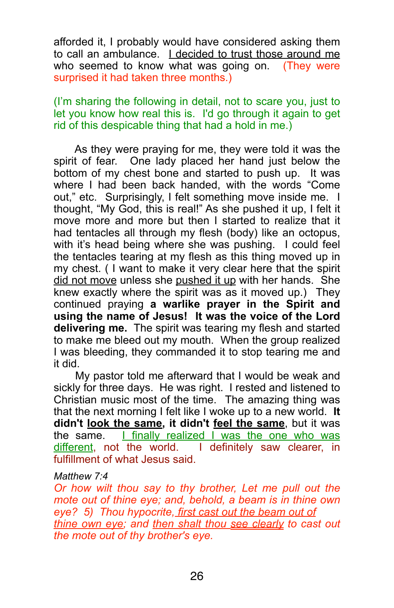afforded it, I probably would have considered asking them to call an ambulance. I decided to trust those around me who seemed to know what was going on. (They were surprised it had taken three months.)

(I'm sharing the following in detail, not to scare you, just to let you know how real this is. I'd go through it again to get rid of this despicable thing that had a hold in me.)

 As they were praying for me, they were told it was the spirit of fear. One lady placed her hand just below the bottom of my chest bone and started to push up. It was where I had been back handed, with the words "Come out," etc. Surprisingly, I felt something move inside me. I thought, "My God, this is real!" As she pushed it up, I felt it move more and more but then I started to realize that it had tentacles all through my flesh (body) like an octopus. with it's head being where she was pushing. I could feel the tentacles tearing at my flesh as this thing moved up in my chest. ( I want to make it very clear here that the spirit did not move unless she pushed it up with her hands. She knew exactly where the spirit was as it moved up.) They continued praying **a warlike prayer in the Spirit and using the name of Jesus! It was the voice of the Lord delivering me.** The spirit was tearing my flesh and started to make me bleed out my mouth. When the group realized I was bleeding, they commanded it to stop tearing me and it did.

 My pastor told me afterward that I would be weak and sickly for three days. He was right. I rested and listened to Christian music most of the time. The amazing thing was that the next morning I felt like I woke up to a new world. **It didn't look the same, it didn't feel the same**, but it was the same. I finally realized I was the one who was different, not the world. I definitely saw clearer, in fulfillment of what Jesus said.

#### *Matthew 7:4*

*Or how wilt thou say to thy brother, Let me pull out the mote out of thine eye; and, behold, a beam is in thine own eye? 5) Thou hypocrite, first cast out the beam out of thine own eye; and then shalt thou see clearly to cast out the mote out of thy brother's eye.*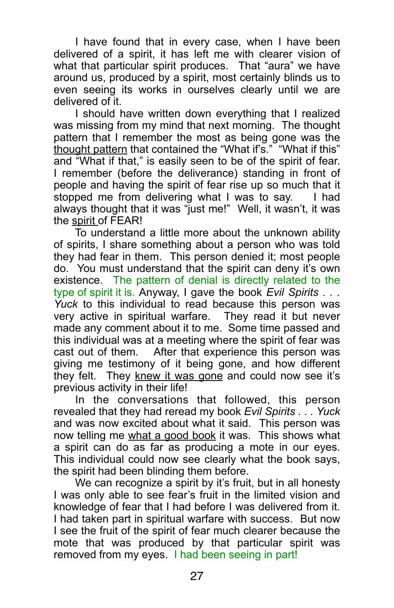I have found that in every case, when I have been delivered of a spirit, it has left me with clearer vision of what that particular spirit produces. That "aura" we have around us, produced by a spirit, most certainly blinds us to even seeing its works in ourselves clearly until we are delivered of it.

 I should have written down everything that I realized was missing from my mind that next morning. The thought pattern that I remember the most as being gone was the thought pattern that contained the "What if's." "What if this" and "What if that," is easily seen to be of the spirit of fear. I remember (before the deliverance) standing in front of people and having the spirit of fear rise up so much that it stopped me from delivering what I was to say. I had always thought that it was "just me!" Well, it wasn't, it was the spirit of FEAR!

 To understand a little more about the unknown ability of spirits, I share something about a person who was told they had fear in them. This person denied it; most people do. You must understand that the spirit can deny it's own existence. The pattern of denial is directly related to the type of spirit it is. Anyway, I gave the book *Evil Spirits . . . Yuck* to this individual to read because this person was very active in spiritual warfare. They read it but never made any comment about it to me. Some time passed and this individual was at a meeting where the spirit of fear was cast out of them. After that experience this person was giving me testimony of it being gone, and how different they felt. They knew it was gone and could now see it's previous activity in their life!

 In the conversations that followed, this person revealed that they had reread my book *Evil Spirits . . . Yuck* and was now excited about what it said. This person was now telling me what a good book it was. This shows what a spirit can do as far as producing a mote in our eyes. This individual could now see clearly what the book says, the spirit had been blinding them before.

We can recognize a spirit by it's fruit, but in all honesty I was only able to see fear's fruit in the limited vision and knowledge of fear that I had before I was delivered from it. I had taken part in spiritual warfare with success. But now I see the fruit of the spirit of fear much clearer because the mote that was produced by that particular spirit was removed from my eyes. I had been seeing in part!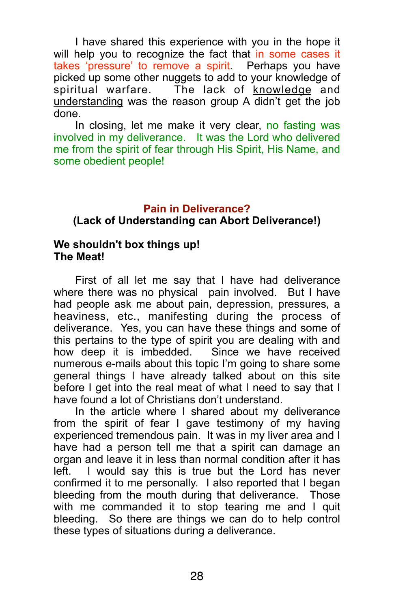I have shared this experience with you in the hope it will help you to recognize the fact that in some cases it takes 'pressure' to remove a spirit. Perhaps you have picked up some other nuggets to add to your knowledge of spiritual warfare. The lack of knowledge and understanding was the reason group A didn't get the job done.

In closing, let me make it very clear, no fasting was involved in my deliverance. It was the Lord who delivered me from the spirit of fear through His Spirit, His Name, and some obedient people!

#### **Pain in Deliverance?**

#### **(Lack of Understanding can Abort Deliverance!)**

### **We shouldn't box things up! The Meat!**

 First of all let me say that I have had deliverance where there was no physical pain involved. But I have had people ask me about pain, depression, pressures, a heaviness, etc., manifesting during the process of deliverance. Yes, you can have these things and some of this pertains to the type of spirit you are dealing with and how deep it is imbedded. Since we have received how deep it is imbedded. numerous e-mails about this topic I'm going to share some general things I have already talked about on this site before I get into the real meat of what I need to say that I have found a lot of Christians don't understand.

 In the article where I shared about my deliverance from the spirit of fear I gave testimony of my having experienced tremendous pain. It was in my liver area and I have had a person tell me that a spirit can damage an organ and leave it in less than normal condition after it has left. I would say this is true but the Lord has never confirmed it to me personally. I also reported that I began bleeding from the mouth during that deliverance. Those with me commanded it to stop tearing me and I quit bleeding. So there are things we can do to help control these types of situations during a deliverance.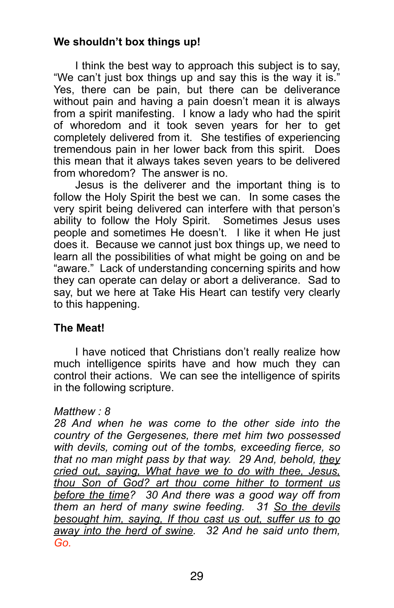## **We shouldn't box things up!**

 I think the best way to approach this subject is to say, "We can't just box things up and say this is the way it is." Yes, there can be pain, but there can be deliverance without pain and having a pain doesn't mean it is always from a spirit manifesting. I know a lady who had the spirit of whoredom and it took seven years for her to get completely delivered from it. She testifies of experiencing tremendous pain in her lower back from this spirit. Does this mean that it always takes seven years to be delivered from whoredom? The answer is no.

 Jesus is the deliverer and the important thing is to follow the Holy Spirit the best we can. In some cases the very spirit being delivered can interfere with that person's ability to follow the Holy Spirit. Sometimes Jesus uses people and sometimes He doesn't. I like it when He just does it. Because we cannot just box things up, we need to learn all the possibilities of what might be going on and be "aware." Lack of understanding concerning spirits and how they can operate can delay or abort a deliverance. Sad to say, but we here at Take His Heart can testify very clearly to this happening.

## **The Meat!**

I have noticed that Christians don't really realize how much intelligence spirits have and how much they can control their actions. We can see the intelligence of spirits in the following scripture.

## *Matthew : 8*

*28 And when he was come to the other side into the country of the Gergesenes, there met him two possessed with devils, coming out of the tombs, exceeding fierce, so that no man might pass by that way. 29 And, behold, they cried out, saying, What have we to do with thee, Jesus, thou Son of God? art thou come hither to torment us before the time? 30 And there was a good way off from them an herd of many swine feeding. 31 So the devils besought him, saying, If thou cast us out, suffer us to go away into the herd of swine. 32 And he said unto them, Go.*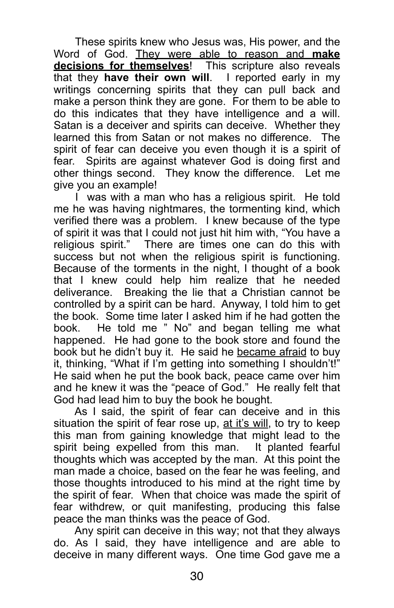These spirits knew who Jesus was, His power, and the Word of God. They were able to reason and **make decisions for themselves**! This scripture also reveals that they **have their own will**. I reported early in my writings concerning spirits that they can pull back and make a person think they are gone. For them to be able to do this indicates that they have intelligence and a will. Satan is a deceiver and spirits can deceive. Whether they learned this from Satan or not makes no difference. The spirit of fear can deceive you even though it is a spirit of fear. Spirits are against whatever God is doing first and other things second. They know the difference. Let me give you an example!

 I was with a man who has a religious spirit. He told me he was having nightmares, the tormenting kind, which verified there was a problem. I knew because of the type of spirit it was that I could not just hit him with, "You have a religious spirit." There are times one can do this with success but not when the religious spirit is functioning. Because of the torments in the night, I thought of a book that I knew could help him realize that he needed deliverance. Breaking the lie that a Christian cannot be controlled by a spirit can be hard. Anyway, I told him to get the book. Some time later I asked him if he had gotten the book. He told me " No" and began telling me what happened. He had gone to the book store and found the book but he didn't buy it. He said he became afraid to buy it, thinking, "What if I'm getting into something I shouldn't!" He said when he put the book back, peace came over him and he knew it was the "peace of God." He really felt that God had lead him to buy the book he bought.

 As I said, the spirit of fear can deceive and in this situation the spirit of fear rose up, at it's will, to try to keep this man from gaining knowledge that might lead to the spirit being expelled from this man. It planted fearful thoughts which was accepted by the man. At this point the man made a choice, based on the fear he was feeling, and those thoughts introduced to his mind at the right time by the spirit of fear. When that choice was made the spirit of fear withdrew, or quit manifesting, producing this false peace the man thinks was the peace of God.

 Any spirit can deceive in this way; not that they always do. As I said, they have intelligence and are able to deceive in many different ways. One time God gave me a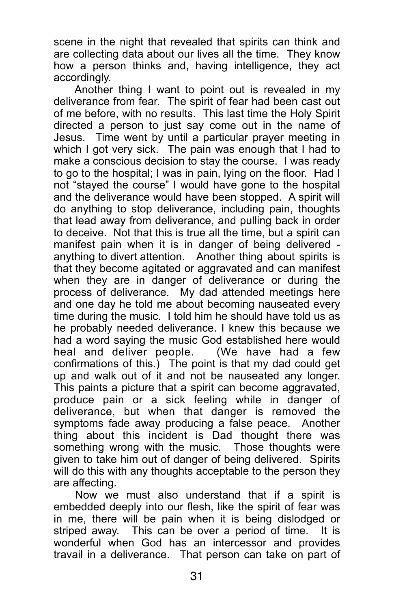scene in the night that revealed that spirits can think and are collecting data about our lives all the time. They know how a person thinks and, having intelligence, they act accordingly.

 Another thing I want to point out is revealed in my deliverance from fear. The spirit of fear had been cast out of me before, with no results. This last time the Holy Spirit directed a person to just say come out in the name of Jesus. Time went by until a particular prayer meeting in which I got very sick. The pain was enough that I had to make a conscious decision to stay the course. I was ready to go to the hospital; I was in pain, lying on the floor. Had I not "stayed the course" I would have gone to the hospital and the deliverance would have been stopped. A spirit will do anything to stop deliverance, including pain, thoughts that lead away from deliverance, and pulling back in order to deceive. Not that this is true all the time, but a spirit can manifest pain when it is in danger of being delivered anything to divert attention. Another thing about spirits is that they become agitated or aggravated and can manifest when they are in danger of deliverance or during the process of deliverance. My dad attended meetings here and one day he told me about becoming nauseated every time during the music. I told him he should have told us as he probably needed deliverance. I knew this because we had a word saying the music God established here would heal and deliver people. (We have had a few heal and deliver people. confirmations of this.) The point is that my dad could get up and walk out of it and not be nauseated any longer. This paints a picture that a spirit can become aggravated, produce pain or a sick feeling while in danger of deliverance, but when that danger is removed the symptoms fade away producing a false peace. Another thing about this incident is Dad thought there was something wrong with the music. Those thoughts were given to take him out of danger of being delivered. Spirits will do this with any thoughts acceptable to the person they are affecting.

 Now we must also understand that if a spirit is embedded deeply into our flesh, like the spirit of fear was in me, there will be pain when it is being dislodged or striped away. This can be over a period of time. It is wonderful when God has an intercessor and provides travail in a deliverance. That person can take on part of